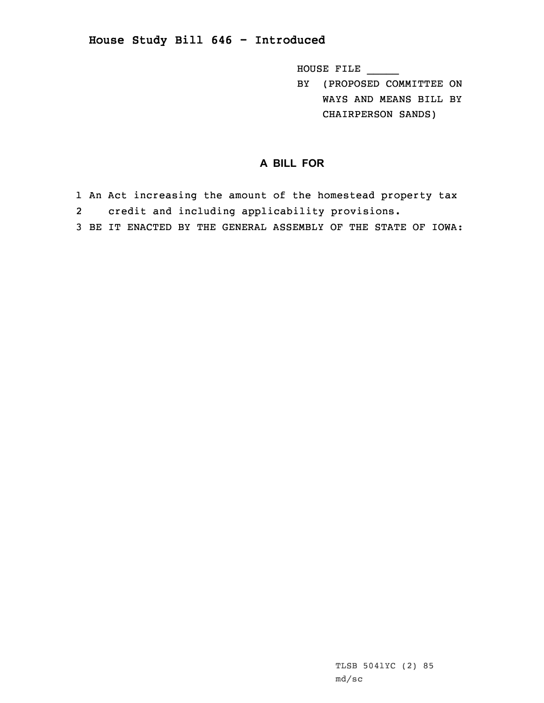## **House Study Bill 646 - Introduced**

HOUSE FILE \_\_\_\_\_

BY (PROPOSED COMMITTEE ON WAYS AND MEANS BILL BY CHAIRPERSON SANDS)

## **A BILL FOR**

- 1 An Act increasing the amount of the homestead property tax 2credit and including applicability provisions.
- 3 BE IT ENACTED BY THE GENERAL ASSEMBLY OF THE STATE OF IOWA: